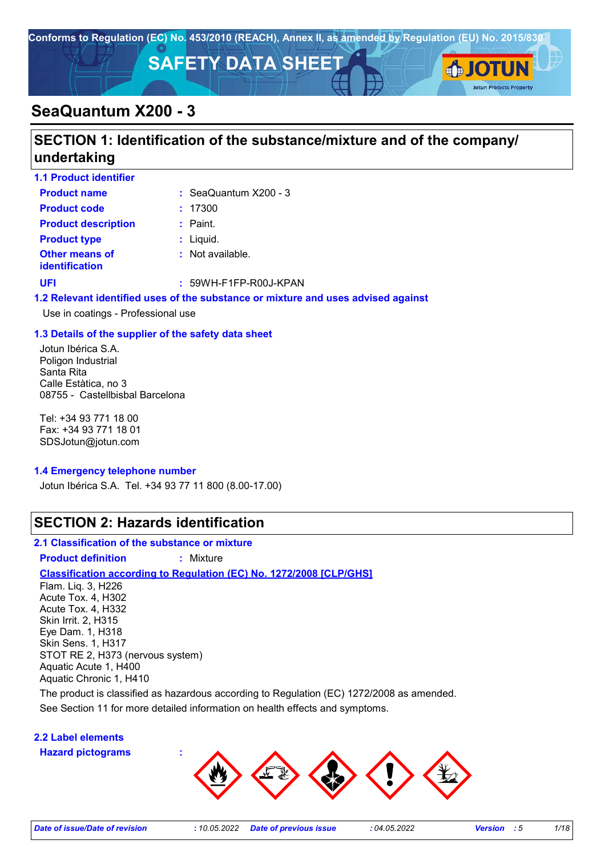

## **SeaQuantum X200 - 3**

## **SECTION 1: Identification of the substance/mixture and of the company/ undertaking**

| <b>1.1 Product identifier</b>                  |                                  |
|------------------------------------------------|----------------------------------|
| <b>Product name</b>                            | $\therefore$ SeaQuantum X200 - 3 |
| <b>Product code</b>                            | : 17300                          |
| <b>Product description</b>                     | $:$ Paint.                       |
| <b>Product type</b>                            | $:$ Liquid.                      |
| <b>Other means of</b><br><b>identification</b> | : Not available.                 |
| UFI                                            | $: 59WH-F1FP-R00J-KPAN$          |
|                                                |                                  |

#### **1.2 Relevant identified uses of the substance or mixture and uses advised against**

Use in coatings - Professional use

#### **1.3 Details of the supplier of the safety data sheet**

Jotun Ibérica S.A. Poligon Industrial Santa Rita Calle Estàtica, no 3 08755 - Castellbisbal Barcelona

Tel: +34 93 771 18 00 Fax: +34 93 771 18 01 SDSJotun@jotun.com

#### **1.4 Emergency telephone number**

Jotun Ibérica S.A. Tel. +34 93 77 11 800 (8.00-17.00)

### **SECTION 2: Hazards identification**

#### **2.1 Classification of the substance or mixture**

**Product definition :** Mixture

### **Classification according to Regulation (EC) No. 1272/2008 [CLP/GHS]**

Flam. Liq. 3, H226 Acute Tox. 4, H302 Acute Tox. 4, H332 Skin Irrit. 2, H315 Eye Dam. 1, H318 Skin Sens. 1, H317 STOT RE 2, H373 (nervous system) Aquatic Acute 1, H400 Aquatic Chronic 1, H410

The product is classified as hazardous according to Regulation (EC) 1272/2008 as amended.

See Section 11 for more detailed information on health effects and symptoms.

### **2.2 Label elements**

**Hazard pictograms :**



**Jotun Protects Property**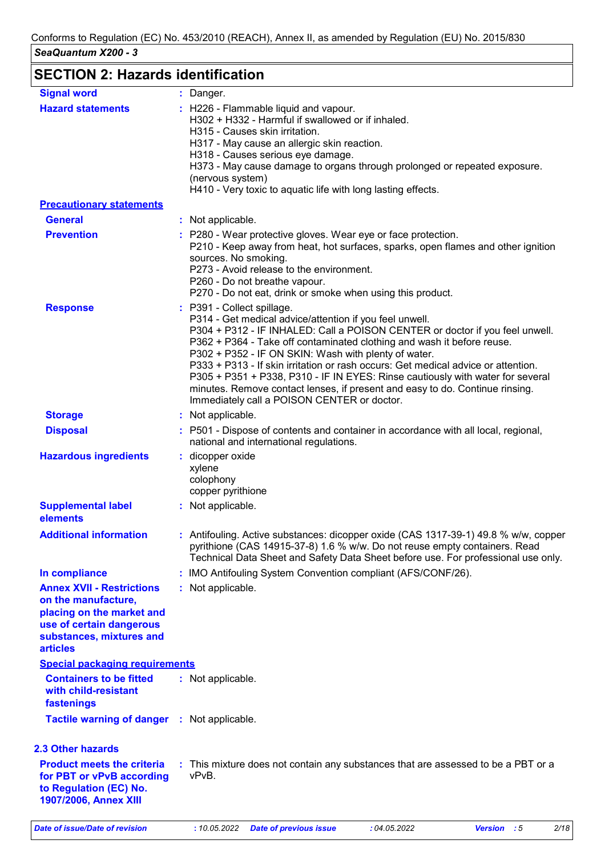## **SECTION 2: Hazards identification**

| <b>Signal word</b>                                                                                                                                              | : Danger.                                                                                                                                                                                                                                                                                                                                                                                                                                                                                                                                                                                                     |
|-----------------------------------------------------------------------------------------------------------------------------------------------------------------|---------------------------------------------------------------------------------------------------------------------------------------------------------------------------------------------------------------------------------------------------------------------------------------------------------------------------------------------------------------------------------------------------------------------------------------------------------------------------------------------------------------------------------------------------------------------------------------------------------------|
| <b>Hazard statements</b>                                                                                                                                        | : H226 - Flammable liquid and vapour.<br>H302 + H332 - Harmful if swallowed or if inhaled.<br>H315 - Causes skin irritation.<br>H317 - May cause an allergic skin reaction.<br>H318 - Causes serious eye damage.<br>H373 - May cause damage to organs through prolonged or repeated exposure.<br>(nervous system)<br>H410 - Very toxic to aquatic life with long lasting effects.                                                                                                                                                                                                                             |
| <b>Precautionary statements</b>                                                                                                                                 |                                                                                                                                                                                                                                                                                                                                                                                                                                                                                                                                                                                                               |
| <b>General</b>                                                                                                                                                  | : Not applicable.                                                                                                                                                                                                                                                                                                                                                                                                                                                                                                                                                                                             |
| <b>Prevention</b>                                                                                                                                               | : P280 - Wear protective gloves. Wear eye or face protection.<br>P210 - Keep away from heat, hot surfaces, sparks, open flames and other ignition<br>sources. No smoking.<br>P273 - Avoid release to the environment.<br>P260 - Do not breathe vapour.<br>P270 - Do not eat, drink or smoke when using this product.                                                                                                                                                                                                                                                                                          |
| <b>Response</b>                                                                                                                                                 | : P391 - Collect spillage.<br>P314 - Get medical advice/attention if you feel unwell.<br>P304 + P312 - IF INHALED: Call a POISON CENTER or doctor if you feel unwell.<br>P362 + P364 - Take off contaminated clothing and wash it before reuse.<br>P302 + P352 - IF ON SKIN: Wash with plenty of water.<br>P333 + P313 - If skin irritation or rash occurs: Get medical advice or attention.<br>P305 + P351 + P338, P310 - IF IN EYES: Rinse cautiously with water for several<br>minutes. Remove contact lenses, if present and easy to do. Continue rinsing.<br>Immediately call a POISON CENTER or doctor. |
| <b>Storage</b>                                                                                                                                                  | : Not applicable.                                                                                                                                                                                                                                                                                                                                                                                                                                                                                                                                                                                             |
| <b>Disposal</b>                                                                                                                                                 | : P501 - Dispose of contents and container in accordance with all local, regional,<br>national and international regulations.                                                                                                                                                                                                                                                                                                                                                                                                                                                                                 |
| <b>Hazardous ingredients</b>                                                                                                                                    | : dicopper oxide<br>xylene<br>colophony<br>copper pyrithione                                                                                                                                                                                                                                                                                                                                                                                                                                                                                                                                                  |
| <b>Supplemental label</b><br>elements                                                                                                                           | : Not applicable.                                                                                                                                                                                                                                                                                                                                                                                                                                                                                                                                                                                             |
| <b>Additional information</b>                                                                                                                                   | : Antifouling. Active substances: dicopper oxide (CAS 1317-39-1) 49.8 % w/w, copper<br>pyrithione (CAS 14915-37-8) 1.6 % w/w. Do not reuse empty containers. Read<br>Technical Data Sheet and Safety Data Sheet before use. For professional use only.                                                                                                                                                                                                                                                                                                                                                        |
| In compliance                                                                                                                                                   | : IMO Antifouling System Convention compliant (AFS/CONF/26).                                                                                                                                                                                                                                                                                                                                                                                                                                                                                                                                                  |
| <b>Annex XVII - Restrictions</b><br>on the manufacture,<br>placing on the market and<br>use of certain dangerous<br>substances, mixtures and<br><b>articles</b> | : Not applicable.                                                                                                                                                                                                                                                                                                                                                                                                                                                                                                                                                                                             |
| <b>Special packaging requirements</b>                                                                                                                           |                                                                                                                                                                                                                                                                                                                                                                                                                                                                                                                                                                                                               |
| <b>Containers to be fitted</b><br>with child-resistant<br>fastenings                                                                                            | : Not applicable.                                                                                                                                                                                                                                                                                                                                                                                                                                                                                                                                                                                             |
| Tactile warning of danger : Not applicable.                                                                                                                     |                                                                                                                                                                                                                                                                                                                                                                                                                                                                                                                                                                                                               |
| <b>2.3 Other hazards</b>                                                                                                                                        |                                                                                                                                                                                                                                                                                                                                                                                                                                                                                                                                                                                                               |
| <b>Product meets the criteria</b><br>for PBT or vPvB according<br>to Regulation (EC) No.<br>1907/2006, Annex XIII                                               | : This mixture does not contain any substances that are assessed to be a PBT or a<br>vPvB.                                                                                                                                                                                                                                                                                                                                                                                                                                                                                                                    |

*Date of issue/Date of revision* **:** *10.05.2022 Date of previous issue : 04.05.2022 Version : 5 2/18*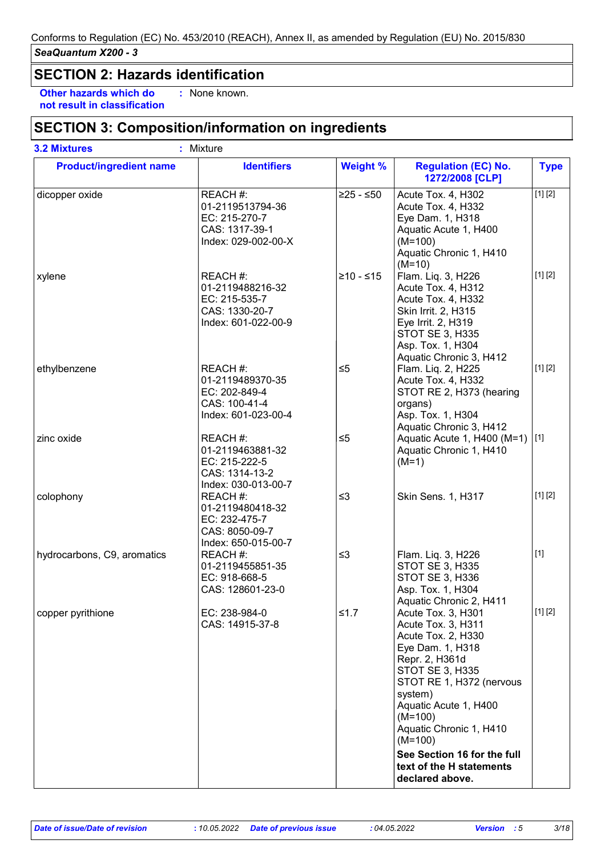### **SECTION 2: Hazards identification**

**Other hazards which do : not result in classification** : None known.

### **SECTION 3: Composition/information on ingredients**

| <b>Product/ingredient name</b> | <b>Identifiers</b>                                                                     | <b>Weight %</b> | <b>Regulation (EC) No.</b><br>1272/2008 [CLP]                                                                                                                                                                                                       | <b>Type</b> |
|--------------------------------|----------------------------------------------------------------------------------------|-----------------|-----------------------------------------------------------------------------------------------------------------------------------------------------------------------------------------------------------------------------------------------------|-------------|
| dicopper oxide                 | REACH #:<br>01-2119513794-36<br>EC: 215-270-7<br>CAS: 1317-39-1<br>Index: 029-002-00-X | $≥25 - ≤50$     | Acute Tox. 4, H302<br>Acute Tox. 4, H332<br>Eye Dam. 1, H318<br>Aquatic Acute 1, H400<br>$(M=100)$<br>Aquatic Chronic 1, H410<br>$(M=10)$                                                                                                           | [1] [2]     |
| xylene                         | REACH #:<br>01-2119488216-32<br>EC: 215-535-7<br>CAS: 1330-20-7<br>Index: 601-022-00-9 | $≥10 - ≤15$     | Flam. Liq. 3, H226<br>Acute Tox. 4, H312<br>Acute Tox. 4, H332<br>Skin Irrit. 2, H315<br>Eye Irrit. 2, H319<br>STOT SE 3, H335<br>Asp. Tox. 1, H304<br>Aquatic Chronic 3, H412                                                                      | [1] [2]     |
| ethylbenzene                   | REACH #:<br>01-2119489370-35<br>EC: 202-849-4<br>CAS: 100-41-4<br>Index: 601-023-00-4  | $\leq 5$        | Flam. Liq. 2, H225<br>Acute Tox. 4, H332<br>STOT RE 2, H373 (hearing<br>organs)<br>Asp. Tox. 1, H304<br>Aquatic Chronic 3, H412                                                                                                                     | [1] [2]     |
| zinc oxide                     | REACH #:<br>01-2119463881-32<br>EC: 215-222-5<br>CAS: 1314-13-2<br>Index: 030-013-00-7 | $\leq 5$        | Aquatic Acute 1, H400 (M=1) [1]<br>Aquatic Chronic 1, H410<br>$(M=1)$                                                                                                                                                                               |             |
| colophony                      | REACH #:<br>01-2119480418-32<br>EC: 232-475-7<br>CAS: 8050-09-7<br>Index: 650-015-00-7 | $\leq$ 3        | Skin Sens. 1, H317                                                                                                                                                                                                                                  | [1] [2]     |
| hydrocarbons, C9, aromatics    | REACH #:<br>01-2119455851-35<br>EC: 918-668-5<br>CAS: 128601-23-0                      | $\leq$ 3        | Flam. Liq. 3, H226<br><b>STOT SE 3, H335</b><br><b>STOT SE 3, H336</b><br>Asp. Tox. 1, H304<br>Aquatic Chronic 2, H411                                                                                                                              | $[1]$       |
| copper pyrithione              | EC: 238-984-0<br>CAS: 14915-37-8                                                       | $≤1.7$          | Acute Tox. 3, H301<br>Acute Tox. 3, H311<br>Acute Tox. 2, H330<br>Eye Dam. 1, H318<br>Repr. 2, H361d<br><b>STOT SE 3, H335</b><br>STOT RE 1, H372 (nervous<br>system)<br>Aquatic Acute 1, H400<br>$(M=100)$<br>Aquatic Chronic 1, H410<br>$(M=100)$ | [1] [2]     |
|                                |                                                                                        |                 | See Section 16 for the full<br>text of the H statements<br>declared above.                                                                                                                                                                          |             |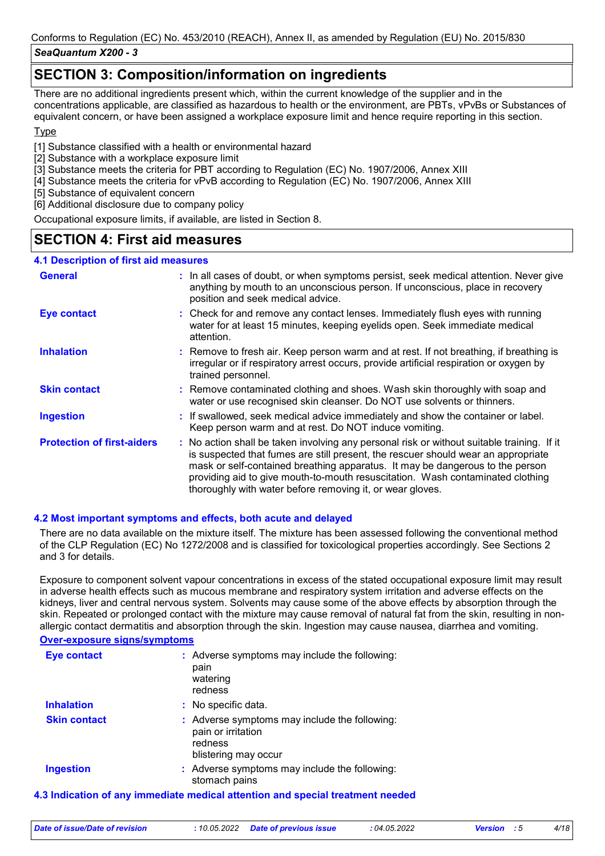### *SeaQuantum X200 - 3*

### **SECTION 3: Composition/information on ingredients**

There are no additional ingredients present which, within the current knowledge of the supplier and in the concentrations applicable, are classified as hazardous to health or the environment, are PBTs, vPvBs or Substances of equivalent concern, or have been assigned a workplace exposure limit and hence require reporting in this section.

#### **Type**

[1] Substance classified with a health or environmental hazard

- [2] Substance with a workplace exposure limit
- [3] Substance meets the criteria for PBT according to Regulation (EC) No. 1907/2006, Annex XIII
- [4] Substance meets the criteria for vPvB according to Regulation (EC) No. 1907/2006, Annex XIII
- [5] Substance of equivalent concern
- [6] Additional disclosure due to company policy

Occupational exposure limits, if available, are listed in Section 8.

### **SECTION 4: First aid measures**

#### **4.1 Description of first aid measures**

| <b>General</b>                    | : In all cases of doubt, or when symptoms persist, seek medical attention. Never give<br>anything by mouth to an unconscious person. If unconscious, place in recovery<br>position and seek medical advice.                                                                                                                                                                                                     |
|-----------------------------------|-----------------------------------------------------------------------------------------------------------------------------------------------------------------------------------------------------------------------------------------------------------------------------------------------------------------------------------------------------------------------------------------------------------------|
| <b>Eye contact</b>                | : Check for and remove any contact lenses. Immediately flush eyes with running<br>water for at least 15 minutes, keeping eyelids open. Seek immediate medical<br>attention.                                                                                                                                                                                                                                     |
| <b>Inhalation</b>                 | : Remove to fresh air. Keep person warm and at rest. If not breathing, if breathing is<br>irregular or if respiratory arrest occurs, provide artificial respiration or oxygen by<br>trained personnel.                                                                                                                                                                                                          |
| <b>Skin contact</b>               | : Remove contaminated clothing and shoes. Wash skin thoroughly with soap and<br>water or use recognised skin cleanser. Do NOT use solvents or thinners.                                                                                                                                                                                                                                                         |
| <b>Ingestion</b>                  | : If swallowed, seek medical advice immediately and show the container or label.<br>Keep person warm and at rest. Do NOT induce vomiting.                                                                                                                                                                                                                                                                       |
| <b>Protection of first-aiders</b> | : No action shall be taken involving any personal risk or without suitable training. If it<br>is suspected that fumes are still present, the rescuer should wear an appropriate<br>mask or self-contained breathing apparatus. It may be dangerous to the person<br>providing aid to give mouth-to-mouth resuscitation. Wash contaminated clothing<br>thoroughly with water before removing it, or wear gloves. |

#### **4.2 Most important symptoms and effects, both acute and delayed**

There are no data available on the mixture itself. The mixture has been assessed following the conventional method of the CLP Regulation (EC) No 1272/2008 and is classified for toxicological properties accordingly. See Sections 2 and 3 for details.

Exposure to component solvent vapour concentrations in excess of the stated occupational exposure limit may result in adverse health effects such as mucous membrane and respiratory system irritation and adverse effects on the kidneys, liver and central nervous system. Solvents may cause some of the above effects by absorption through the skin. Repeated or prolonged contact with the mixture may cause removal of natural fat from the skin, resulting in nonallergic contact dermatitis and absorption through the skin. Ingestion may cause nausea, diarrhea and vomiting.

#### **Over-exposure signs/symptoms**

| <b>Eye contact</b>  | : Adverse symptoms may include the following:<br>pain<br>watering<br>redness                                  |
|---------------------|---------------------------------------------------------------------------------------------------------------|
| <b>Inhalation</b>   | : No specific data.                                                                                           |
| <b>Skin contact</b> | : Adverse symptoms may include the following:<br>pain or irritation<br>redness<br>blistering may occur        |
| <b>Ingestion</b>    | : Adverse symptoms may include the following:<br>stomach pains                                                |
|                     | A la diversión del carrollar de diference di estable il estable del carrolle del face face del consegue della |

#### **4.3 Indication of any immediate medical attention and special treatment needed**

| Date of issue/Date of revision |  | : 10.05.2022 Date of previous issue | : 04.05.2022 | <b>Version</b> : 5 |  |  |
|--------------------------------|--|-------------------------------------|--------------|--------------------|--|--|
|--------------------------------|--|-------------------------------------|--------------|--------------------|--|--|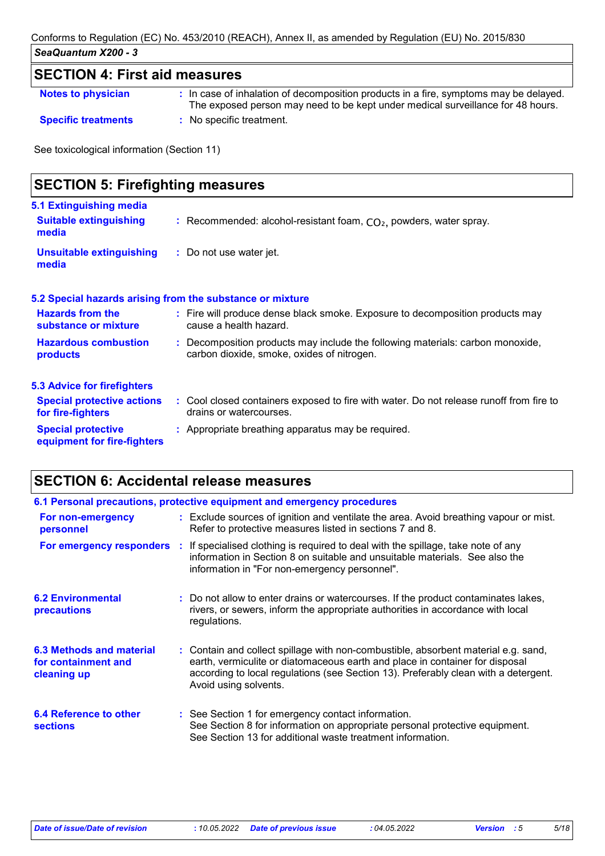## **SECTION 4: First aid measures**

| <b>Notes to physician</b> |  |  |
|---------------------------|--|--|
|                           |  |  |

**Notes to physician In case of inhalation of decomposition products in a fire, symptoms may be delayed.** The exposed person may need to be kept under medical surveillance for 48 hours. **Specific treatments :** No specific treatment.

See toxicological information (Section 11)

| <b>SECTION 5: Firefighting measures</b>                           |                                                                                                                              |  |  |  |
|-------------------------------------------------------------------|------------------------------------------------------------------------------------------------------------------------------|--|--|--|
| 5.1 Extinguishing media<br><b>Suitable extinguishing</b><br>media | : Recommended: alcohol-resistant foam, $CO2$ , powders, water spray.                                                         |  |  |  |
| <b>Unsuitable extinguishing</b><br>media                          | : Do not use water jet.                                                                                                      |  |  |  |
|                                                                   | 5.2 Special hazards arising from the substance or mixture                                                                    |  |  |  |
| <b>Hazards from the</b><br>substance or mixture                   | : Fire will produce dense black smoke. Exposure to decomposition products may<br>cause a health hazard.                      |  |  |  |
| <b>Hazardous combustion</b><br>products                           | : Decomposition products may include the following materials: carbon monoxide,<br>carbon dioxide, smoke, oxides of nitrogen. |  |  |  |
| <b>5.3 Advice for firefighters</b>                                |                                                                                                                              |  |  |  |
| <b>Special protective actions</b><br>for fire-fighters            | : Cool closed containers exposed to fire with water. Do not release runoff from fire to<br>drains or watercourses.           |  |  |  |
| <b>Special protective</b><br>equipment for fire-fighters          | : Appropriate breathing apparatus may be required.                                                                           |  |  |  |

## **SECTION 6: Accidental release measures**

|                                                                | 6.1 Personal precautions, protective equipment and emergency procedures                                                                                                                                                                                                            |
|----------------------------------------------------------------|------------------------------------------------------------------------------------------------------------------------------------------------------------------------------------------------------------------------------------------------------------------------------------|
| For non-emergency<br>personnel                                 | : Exclude sources of ignition and ventilate the area. Avoid breathing vapour or mist.<br>Refer to protective measures listed in sections 7 and 8.                                                                                                                                  |
|                                                                | <b>For emergency responders</b> : If specialised clothing is required to deal with the spillage, take note of any<br>information in Section 8 on suitable and unsuitable materials. See also the<br>information in "For non-emergency personnel".                                  |
| <b>6.2 Environmental</b><br>precautions                        | : Do not allow to enter drains or watercourses. If the product contaminates lakes,<br>rivers, or sewers, inform the appropriate authorities in accordance with local<br>regulations.                                                                                               |
| 6.3 Methods and material<br>for containment and<br>cleaning up | : Contain and collect spillage with non-combustible, absorbent material e.g. sand,<br>earth, vermiculite or diatomaceous earth and place in container for disposal<br>according to local regulations (see Section 13). Preferably clean with a detergent.<br>Avoid using solvents. |
| 6.4 Reference to other<br><b>sections</b>                      | : See Section 1 for emergency contact information.<br>See Section 8 for information on appropriate personal protective equipment.<br>See Section 13 for additional waste treatment information.                                                                                    |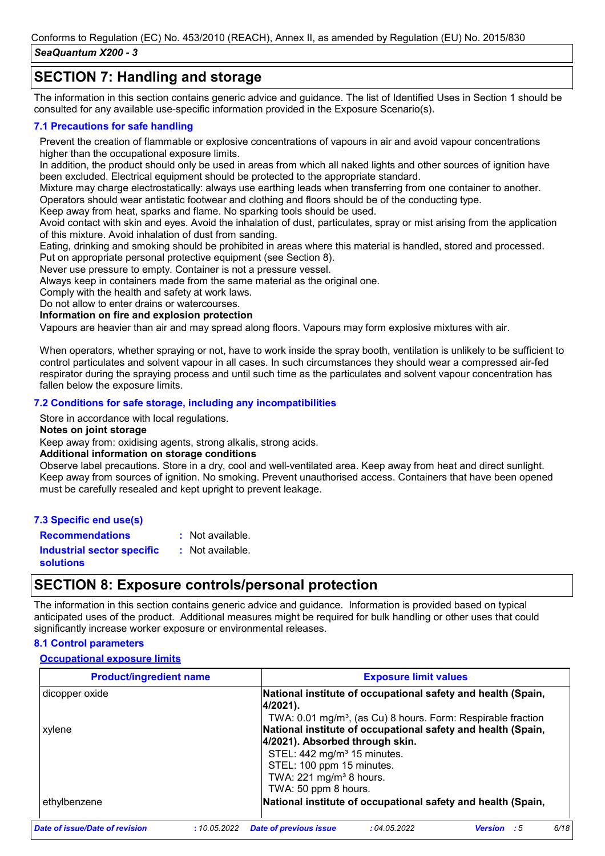### **SECTION 7: Handling and storage**

The information in this section contains generic advice and guidance. The list of Identified Uses in Section 1 should be consulted for any available use-specific information provided in the Exposure Scenario(s).

#### **7.1 Precautions for safe handling**

Prevent the creation of flammable or explosive concentrations of vapours in air and avoid vapour concentrations higher than the occupational exposure limits.

In addition, the product should only be used in areas from which all naked lights and other sources of ignition have been excluded. Electrical equipment should be protected to the appropriate standard.

Mixture may charge electrostatically: always use earthing leads when transferring from one container to another. Operators should wear antistatic footwear and clothing and floors should be of the conducting type.

Keep away from heat, sparks and flame. No sparking tools should be used.

Avoid contact with skin and eyes. Avoid the inhalation of dust, particulates, spray or mist arising from the application of this mixture. Avoid inhalation of dust from sanding.

Eating, drinking and smoking should be prohibited in areas where this material is handled, stored and processed.

Put on appropriate personal protective equipment (see Section 8).

Never use pressure to empty. Container is not a pressure vessel.

Always keep in containers made from the same material as the original one.

Comply with the health and safety at work laws.

Do not allow to enter drains or watercourses.

**Information on fire and explosion protection**

Vapours are heavier than air and may spread along floors. Vapours may form explosive mixtures with air.

When operators, whether spraying or not, have to work inside the spray booth, ventilation is unlikely to be sufficient to control particulates and solvent vapour in all cases. In such circumstances they should wear a compressed air-fed respirator during the spraying process and until such time as the particulates and solvent vapour concentration has fallen below the exposure limits.

#### **7.2 Conditions for safe storage, including any incompatibilities**

Store in accordance with local regulations.

#### **Notes on joint storage**

Keep away from: oxidising agents, strong alkalis, strong acids.

#### **Additional information on storage conditions**

Observe label precautions. Store in a dry, cool and well-ventilated area. Keep away from heat and direct sunlight. Keep away from sources of ignition. No smoking. Prevent unauthorised access. Containers that have been opened must be carefully resealed and kept upright to prevent leakage.

#### **7.3 Specific end use(s)**

**Recommendations :** : Not available.

**Industrial sector specific : solutions** : Not available.

### **SECTION 8: Exposure controls/personal protection**

The information in this section contains generic advice and guidance. Information is provided based on typical anticipated uses of the product. Additional measures might be required for bulk handling or other uses that could significantly increase worker exposure or environmental releases.

#### **8.1 Control parameters**

#### **Occupational exposure limits**

| <b>Exposure limit values</b><br><b>Product/ingredient name</b> |                                                                                                 |  |  |  |  |  |  |
|----------------------------------------------------------------|-------------------------------------------------------------------------------------------------|--|--|--|--|--|--|
| dicopper oxide                                                 | National institute of occupational safety and health (Spain,<br>4/2021).                        |  |  |  |  |  |  |
|                                                                | TWA: 0.01 mg/m <sup>3</sup> , (as Cu) 8 hours. Form: Respirable fraction                        |  |  |  |  |  |  |
| xylene                                                         | National institute of occupational safety and health (Spain,<br>4/2021). Absorbed through skin. |  |  |  |  |  |  |
|                                                                | STEL: 442 mg/m <sup>3</sup> 15 minutes.                                                         |  |  |  |  |  |  |
|                                                                | STEL: 100 ppm 15 minutes.                                                                       |  |  |  |  |  |  |
|                                                                | TWA: $221 \text{ mg/m}^3$ 8 hours.                                                              |  |  |  |  |  |  |
|                                                                | TWA: 50 ppm 8 hours.                                                                            |  |  |  |  |  |  |
| ethylbenzene                                                   | National institute of occupational safety and health (Spain,                                    |  |  |  |  |  |  |
| <b>Date of issue/Date of revision</b><br>:10.05.2022           | 6/18<br><b>Date of previous issue</b><br>:04.05.2022<br><b>Version</b><br>- 5                   |  |  |  |  |  |  |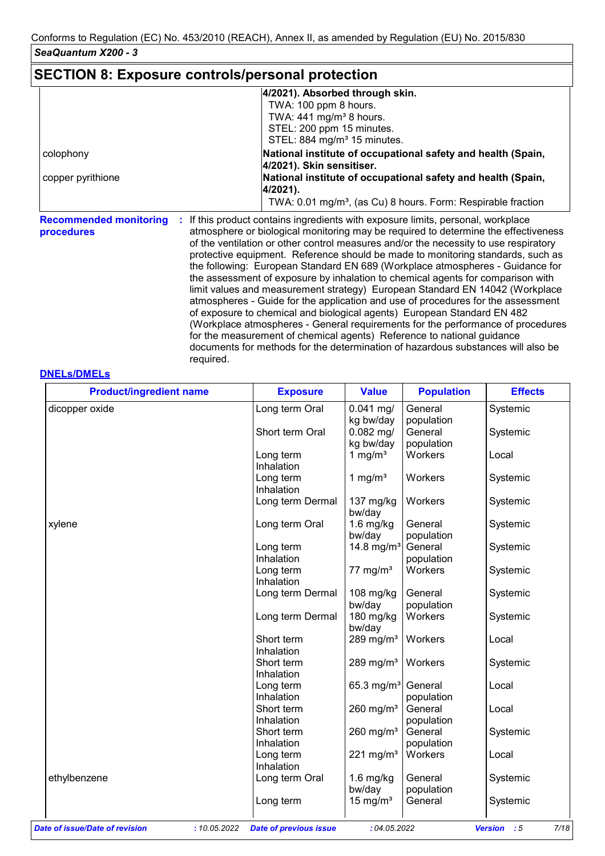### **SECTION 8: Exposure controls/personal protection**

|                                             | 4/2021). Absorbed through skin.                                                                                                                                                                                                                              |
|---------------------------------------------|--------------------------------------------------------------------------------------------------------------------------------------------------------------------------------------------------------------------------------------------------------------|
|                                             | TWA: 100 ppm 8 hours.                                                                                                                                                                                                                                        |
|                                             | TWA: $441$ mg/m <sup>3</sup> 8 hours.                                                                                                                                                                                                                        |
|                                             | STEL: 200 ppm 15 minutes.                                                                                                                                                                                                                                    |
|                                             | STEL: 884 mg/m <sup>3</sup> 15 minutes.                                                                                                                                                                                                                      |
| colophony                                   | National institute of occupational safety and health (Spain,                                                                                                                                                                                                 |
|                                             | 4/2021). Skin sensitiser.                                                                                                                                                                                                                                    |
| copper pyrithione                           | National institute of occupational safety and health (Spain,<br>4/2021).                                                                                                                                                                                     |
|                                             | TWA: 0.01 mg/m <sup>3</sup> , (as Cu) 8 hours. Form: Respirable fraction                                                                                                                                                                                     |
| <b>Recommended monitoring</b><br>procedures | If this product contains ingredients with exposure limits, personal, workplace<br>atmosphere or biological monitoring may be required to determine the effectiveness<br>of the ventilation or other control measures and/or the necessity to use respiratory |

/entilation or other control measures and/or the necessity to use respiratory protective equipment. Reference should be made to monitoring standards, such as the following: European Standard EN 689 (Workplace atmospheres - Guidance for the assessment of exposure by inhalation to chemical agents for comparison with limit values and measurement strategy) European Standard EN 14042 (Workplace atmospheres - Guide for the application and use of procedures for the assessment of exposure to chemical and biological agents) European Standard EN 482 (Workplace atmospheres - General requirements for the performance of procedures for the measurement of chemical agents) Reference to national guidance documents for methods for the determination of hazardous substances will also be required.

#### **DNELs/DMELs**

| <b>Product/ingredient name</b>                 | <b>Exposure</b>               | <b>Value</b>           | <b>Population</b> | <b>Effects</b>               |
|------------------------------------------------|-------------------------------|------------------------|-------------------|------------------------------|
| dicopper oxide                                 | Long term Oral                | $0.041$ mg/            | General           | Systemic                     |
|                                                |                               | kg bw/day              | population        |                              |
|                                                | Short term Oral               | $0.082$ mg/            | General           | Systemic                     |
|                                                |                               | kg bw/day              | population        |                              |
|                                                | Long term                     | 1 mg/ $m3$             | Workers           | Local                        |
|                                                | Inhalation                    |                        |                   |                              |
|                                                | Long term                     | 1 mg/ $m3$             | Workers           | Systemic                     |
|                                                | Inhalation                    |                        |                   |                              |
|                                                | Long term Dermal              | 137 mg/kg              | Workers           | Systemic                     |
|                                                |                               | bw/day                 |                   |                              |
| xylene                                         | Long term Oral                | $1.6$ mg/kg            | General           | Systemic                     |
|                                                |                               | bw/day                 | population        |                              |
|                                                | Long term                     | 14.8 mg/ $m^3$         | General           | Systemic                     |
|                                                | Inhalation                    |                        | population        |                              |
|                                                | Long term                     | $77 \text{ mg/m}^3$    | Workers           | Systemic                     |
|                                                | Inhalation                    |                        |                   |                              |
|                                                | Long term Dermal              | 108 mg/kg              | General           | Systemic                     |
|                                                |                               | bw/day                 | population        |                              |
|                                                | Long term Dermal              | 180 mg/kg              | Workers           | Systemic                     |
|                                                |                               | bw/day                 |                   |                              |
|                                                | Short term                    | 289 mg/m <sup>3</sup>  | Workers           | Local                        |
|                                                | Inhalation                    |                        |                   |                              |
|                                                | Short term                    | 289 mg/m <sup>3</sup>  | Workers           | Systemic                     |
|                                                | Inhalation                    |                        |                   |                              |
|                                                | Long term                     | 65.3 mg/m <sup>3</sup> | General           | Local                        |
|                                                | Inhalation                    |                        | population        |                              |
|                                                | Short term                    | 260 mg/ $m3$           | General           | Local                        |
|                                                | Inhalation                    |                        | population        |                              |
|                                                | Short term                    | 260 mg/ $m3$           | General           | Systemic                     |
|                                                | Inhalation                    |                        | population        |                              |
|                                                | Long term                     | 221 mg/m $3$           | Workers           | Local                        |
|                                                | Inhalation                    |                        |                   |                              |
| ethylbenzene                                   | Long term Oral                | $1.6$ mg/kg            | General           | Systemic                     |
|                                                |                               | bw/day                 | population        |                              |
|                                                | Long term                     | 15 mg/ $m3$            | General           | Systemic                     |
|                                                |                               |                        |                   |                              |
| : 10.05.2022<br>Date of issue/Date of revision | <b>Date of previous issue</b> | : 04.05.2022           |                   | 7/18<br><b>Version</b><br>:5 |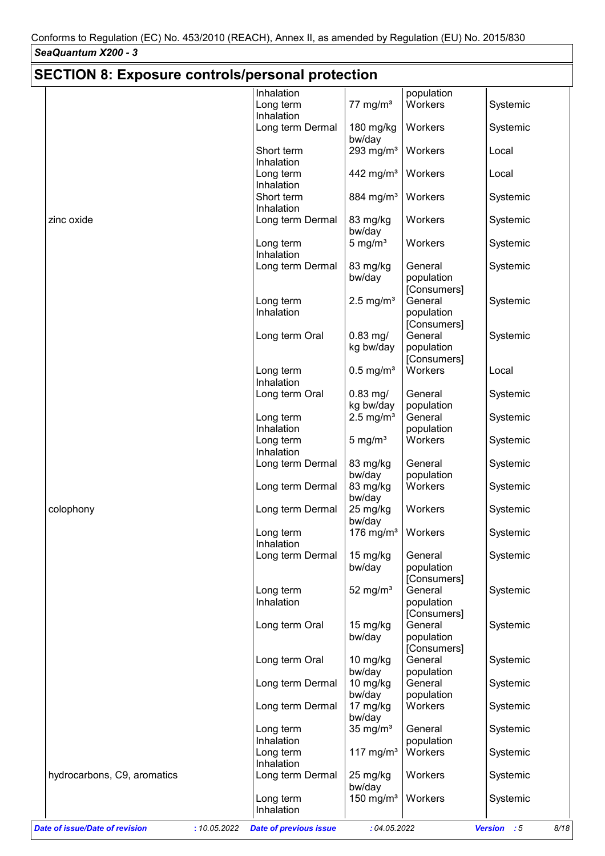| <b>SECTION 8: Exposure controls/personal protection</b> |                                                             |                                             |                                      |                      |
|---------------------------------------------------------|-------------------------------------------------------------|---------------------------------------------|--------------------------------------|----------------------|
|                                                         | Inhalation                                                  |                                             | population                           |                      |
|                                                         |                                                             |                                             | Workers                              |                      |
|                                                         | Long term<br>Inhalation                                     | 77 mg/m $3$                                 |                                      | Systemic             |
|                                                         | Long term Dermal                                            | $180$ mg/kg<br>bw/day                       | Workers                              | Systemic             |
|                                                         | Short term<br>Inhalation                                    | 293 mg/ $m3$                                | Workers                              | Local                |
|                                                         | Long term<br>Inhalation                                     | 442 mg/m <sup>3</sup>                       | Workers                              | Local                |
|                                                         | Short term<br>Inhalation                                    | 884 mg/m <sup>3</sup>                       | Workers                              | Systemic             |
| zinc oxide                                              | Long term Dermal                                            | 83 mg/kg<br>bw/day                          | Workers                              | Systemic             |
|                                                         | Long term<br>Inhalation                                     | 5 mg/ $m3$                                  | Workers                              | Systemic             |
|                                                         | Long term Dermal                                            | 83 mg/kg<br>bw/day                          | General<br>population<br>[Consumers] | Systemic             |
|                                                         | Long term<br>Inhalation                                     | $2.5$ mg/m <sup>3</sup>                     | General<br>population                | Systemic             |
|                                                         | Long term Oral                                              | $0.83$ mg/<br>kg bw/day                     | [Consumers]<br>General<br>population | Systemic             |
|                                                         | Long term                                                   | $0.5$ mg/m <sup>3</sup>                     | [Consumers]<br>Workers               | Local                |
|                                                         | Inhalation<br>Long term Oral                                | $0.83$ mg/<br>kg bw/day                     | General<br>population                | Systemic             |
|                                                         | Long term<br>Inhalation                                     | $2.5$ mg/m <sup>3</sup>                     | General<br>population                | Systemic             |
|                                                         | Long term<br>Inhalation                                     | 5 mg/ $m3$                                  | Workers                              | Systemic             |
|                                                         | Long term Dermal                                            | 83 mg/kg<br>bw/day                          | General<br>population                | Systemic             |
|                                                         | Long term Dermal                                            | 83 mg/kg<br>bw/day                          | Workers                              | Systemic             |
| colophony                                               | Long term Dermal                                            | 25 mg/kg<br>bw/day                          | Workers                              | Systemic             |
|                                                         | Long term<br>Inhalation                                     | 176 mg/m $3$                                | Workers                              | Systemic             |
|                                                         | Long term Dermal                                            | 15 mg/kg<br>bw/day                          | General<br>population<br>[Consumers] | Systemic             |
|                                                         | Long term<br>Inhalation                                     | 52 mg/ $m3$                                 | General<br>population<br>[Consumers] | Systemic             |
|                                                         | Long term Oral                                              | 15 mg/kg<br>bw/day                          | General<br>population<br>[Consumers] | Systemic             |
|                                                         | Long term Oral                                              | $10$ mg/kg<br>bw/day                        | General<br>population                | Systemic             |
|                                                         | Long term Dermal                                            | 10 mg/kg<br>bw/day                          | General<br>population                | Systemic             |
|                                                         | Long term Dermal                                            | 17 mg/kg<br>bw/day                          | Workers                              | Systemic             |
|                                                         | Long term<br>Inhalation                                     | 35 mg/ $m3$                                 | General<br>population                | Systemic             |
|                                                         | Long term<br>Inhalation                                     | 117 mg/m <sup>3</sup>                       | Workers                              | Systemic             |
| hydrocarbons, C9, aromatics                             | Long term Dermal<br>Long term                               | 25 mg/kg<br>bw/day<br>150 mg/m <sup>3</sup> | Workers<br>Workers                   | Systemic<br>Systemic |
| <b>Date of issue/Date of revision</b>                   | Inhalation<br><b>Date of previous issue</b><br>: 10.05.2022 | : 04.05.2022                                |                                      | Version : 5<br>8/18  |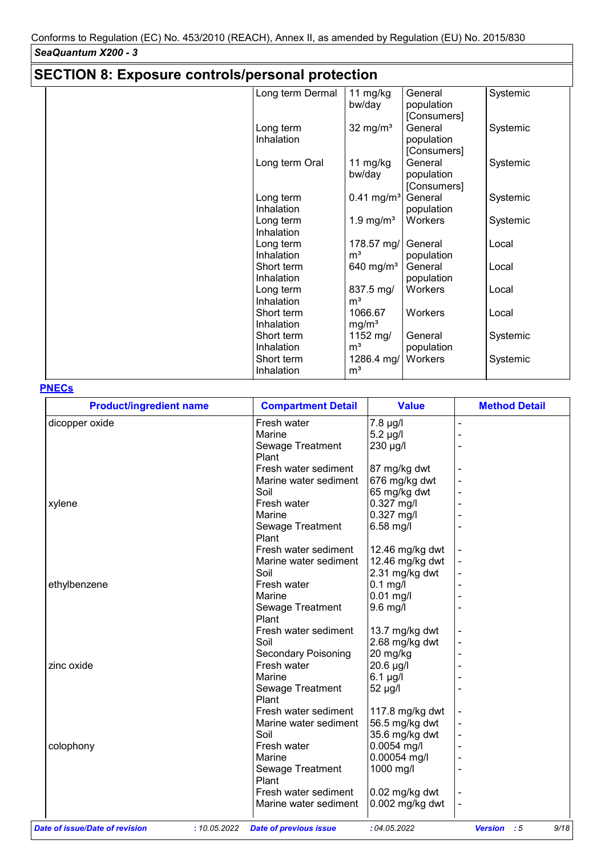## **SECTION 8: Exposure controls/personal protection**

| Long term Dermal | 11 $mg/kg$               | General     | Systemic |
|------------------|--------------------------|-------------|----------|
|                  | bw/day                   | population  |          |
|                  |                          | [Consumers] |          |
| Long term        | $32 \text{ mg/m}^3$      | General     | Systemic |
| Inhalation       |                          | population  |          |
|                  |                          | [Consumers] |          |
| Long term Oral   | 11 $mg/kg$               | General     | Systemic |
|                  | bw/day                   | population  |          |
|                  |                          | [Consumers] |          |
| Long term        | $0.41$ mg/m <sup>3</sup> | General     | Systemic |
| Inhalation       |                          | population  |          |
| Long term        | 1.9 mg/ $m3$             | Workers     | Systemic |
| Inhalation       |                          |             |          |
| Long term        | 178.57 mg/               | General     | Local    |
| Inhalation       | m <sup>3</sup>           | population  |          |
| Short term       | 640 mg/ $m3$             | General     | Local    |
| Inhalation       |                          | population  |          |
| Long term        | 837.5 mg/                | Workers     | Local    |
| Inhalation       | m <sup>3</sup>           |             |          |
| Short term       | 1066.67                  | Workers     | Local    |
| Inhalation       | mg/m <sup>3</sup>        |             |          |
| Short term       | 1152 mg/                 | General     | Systemic |
| Inhalation       | m <sup>3</sup>           | population  |          |
| Short term       | 1286.4 mg/               | Workers     | Systemic |
| Inhalation       | m <sup>3</sup>           |             |          |
|                  |                          |             |          |

#### **PNECs**

| <b>Product/ingredient name</b> |              | <b>Compartment Detail</b>     | <b>Value</b>     | <b>Method Detail</b>         |
|--------------------------------|--------------|-------------------------------|------------------|------------------------------|
| dicopper oxide                 |              | Fresh water                   | 7.8 µg/l         |                              |
|                                |              | Marine                        | $5.2 \mu g/l$    |                              |
|                                |              | Sewage Treatment              | 230 µg/l         |                              |
|                                |              | Plant                         |                  |                              |
|                                |              | Fresh water sediment          | 87 mg/kg dwt     |                              |
|                                |              | Marine water sediment         | 676 mg/kg dwt    |                              |
|                                |              | Soil                          | 65 mg/kg dwt     |                              |
| xylene                         |              | Fresh water                   | 0.327 mg/l       |                              |
|                                |              | Marine                        | 0.327 mg/l       |                              |
|                                |              | Sewage Treatment              | 6.58 mg/l        |                              |
|                                |              | Plant                         |                  |                              |
|                                |              | Fresh water sediment          | 12.46 mg/kg dwt  |                              |
|                                |              | Marine water sediment         | 12.46 mg/kg dwt  |                              |
|                                |              | Soil                          | 2.31 mg/kg dwt   |                              |
| ethylbenzene                   |              | Fresh water                   | $0.1$ mg/l       |                              |
|                                |              | Marine                        | $0.01$ mg/l      |                              |
|                                |              | Sewage Treatment              | 9.6 mg/l         |                              |
|                                |              | Plant                         |                  |                              |
|                                |              | Fresh water sediment          | 13.7 mg/kg dwt   |                              |
|                                |              | Soil                          | 2.68 mg/kg dwt   |                              |
|                                |              | <b>Secondary Poisoning</b>    | 20 mg/kg         |                              |
| zinc oxide                     |              | Fresh water                   | 20.6 µg/l        |                              |
|                                |              | Marine                        | $6.1$ µg/l       |                              |
|                                |              | Sewage Treatment              | 52 µg/l          |                              |
|                                |              | Plant                         |                  |                              |
|                                |              | Fresh water sediment          | 117.8 mg/kg dwt  |                              |
|                                |              | Marine water sediment         | 56.5 mg/kg dwt   |                              |
|                                |              | Soil                          | 35.6 mg/kg dwt   |                              |
| colophony                      |              | Fresh water                   | 0.0054 mg/l      |                              |
|                                |              | Marine                        | 0.00054 mg/l     |                              |
|                                |              | Sewage Treatment              | 1000 mg/l        |                              |
|                                |              | Plant                         |                  |                              |
|                                |              | Fresh water sediment          | $0.02$ mg/kg dwt |                              |
|                                |              | Marine water sediment         | 0.002 mg/kg dwt  |                              |
| Date of issue/Date of revision | : 10.05.2022 | <b>Date of previous issue</b> | :04.05.2022      | 9/18<br><b>Version</b><br>:5 |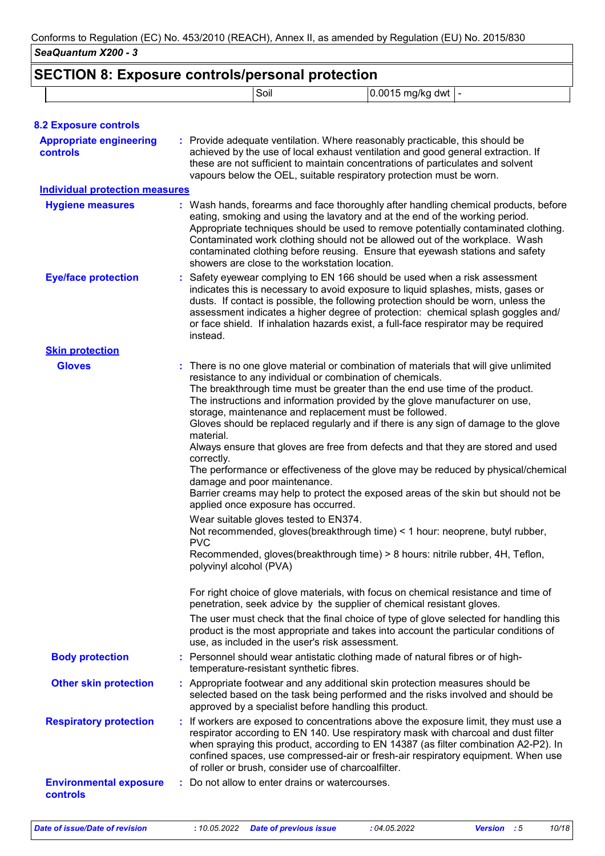| <b>SECTION 8: Exposure controls/personal protection</b> |                                       | Soil                                                                                                                                                                                                                                                                                                                                                                                                         | 0.0015 mg/kg dwt  -                                                                                                                                                                                                                                                                                                                                                                                                                                                                                                                                                                                                                                                                                                                                                                                                                                                                                                                                                                                                                                                                                                                                                                                                                               |  |  |  |
|---------------------------------------------------------|---------------------------------------|--------------------------------------------------------------------------------------------------------------------------------------------------------------------------------------------------------------------------------------------------------------------------------------------------------------------------------------------------------------------------------------------------------------|---------------------------------------------------------------------------------------------------------------------------------------------------------------------------------------------------------------------------------------------------------------------------------------------------------------------------------------------------------------------------------------------------------------------------------------------------------------------------------------------------------------------------------------------------------------------------------------------------------------------------------------------------------------------------------------------------------------------------------------------------------------------------------------------------------------------------------------------------------------------------------------------------------------------------------------------------------------------------------------------------------------------------------------------------------------------------------------------------------------------------------------------------------------------------------------------------------------------------------------------------|--|--|--|
|                                                         |                                       |                                                                                                                                                                                                                                                                                                                                                                                                              |                                                                                                                                                                                                                                                                                                                                                                                                                                                                                                                                                                                                                                                                                                                                                                                                                                                                                                                                                                                                                                                                                                                                                                                                                                                   |  |  |  |
| <b>8.2 Exposure controls</b>                            |                                       |                                                                                                                                                                                                                                                                                                                                                                                                              |                                                                                                                                                                                                                                                                                                                                                                                                                                                                                                                                                                                                                                                                                                                                                                                                                                                                                                                                                                                                                                                                                                                                                                                                                                                   |  |  |  |
| <b>Appropriate engineering</b><br><b>controls</b>       |                                       |                                                                                                                                                                                                                                                                                                                                                                                                              | : Provide adequate ventilation. Where reasonably practicable, this should be<br>achieved by the use of local exhaust ventilation and good general extraction. If<br>these are not sufficient to maintain concentrations of particulates and solvent<br>vapours below the OEL, suitable respiratory protection must be worn.                                                                                                                                                                                                                                                                                                                                                                                                                                                                                                                                                                                                                                                                                                                                                                                                                                                                                                                       |  |  |  |
| <b>Individual protection measures</b>                   |                                       |                                                                                                                                                                                                                                                                                                                                                                                                              |                                                                                                                                                                                                                                                                                                                                                                                                                                                                                                                                                                                                                                                                                                                                                                                                                                                                                                                                                                                                                                                                                                                                                                                                                                                   |  |  |  |
| <b>Hygiene measures</b>                                 |                                       | showers are close to the workstation location.                                                                                                                                                                                                                                                                                                                                                               | : Wash hands, forearms and face thoroughly after handling chemical products, before<br>eating, smoking and using the lavatory and at the end of the working period.<br>Appropriate techniques should be used to remove potentially contaminated clothing.<br>Contaminated work clothing should not be allowed out of the workplace. Wash<br>contaminated clothing before reusing. Ensure that eyewash stations and safety                                                                                                                                                                                                                                                                                                                                                                                                                                                                                                                                                                                                                                                                                                                                                                                                                         |  |  |  |
| <b>Eye/face protection</b>                              | instead.                              |                                                                                                                                                                                                                                                                                                                                                                                                              | : Safety eyewear complying to EN 166 should be used when a risk assessment<br>indicates this is necessary to avoid exposure to liquid splashes, mists, gases or<br>dusts. If contact is possible, the following protection should be worn, unless the<br>assessment indicates a higher degree of protection: chemical splash goggles and/<br>or face shield. If inhalation hazards exist, a full-face respirator may be required                                                                                                                                                                                                                                                                                                                                                                                                                                                                                                                                                                                                                                                                                                                                                                                                                  |  |  |  |
| <b>Skin protection</b>                                  |                                       |                                                                                                                                                                                                                                                                                                                                                                                                              |                                                                                                                                                                                                                                                                                                                                                                                                                                                                                                                                                                                                                                                                                                                                                                                                                                                                                                                                                                                                                                                                                                                                                                                                                                                   |  |  |  |
| <b>Gloves</b>                                           | material.<br>correctly.<br><b>PVC</b> | damage and poor maintenance.<br>applied once exposure has occurred.<br>Wear suitable gloves tested to EN374.<br>polyvinyl alcohol (PVA)                                                                                                                                                                                                                                                                      | There is no one glove material or combination of materials that will give unlimited<br>resistance to any individual or combination of chemicals.<br>The breakthrough time must be greater than the end use time of the product.<br>The instructions and information provided by the glove manufacturer on use,<br>storage, maintenance and replacement must be followed.<br>Gloves should be replaced regularly and if there is any sign of damage to the glove<br>Always ensure that gloves are free from defects and that they are stored and used<br>The performance or effectiveness of the glove may be reduced by physical/chemical<br>Barrier creams may help to protect the exposed areas of the skin but should not be<br>Not recommended, gloves (breakthrough time) < 1 hour: neoprene, butyl rubber,<br>Recommended, gloves(breakthrough time) > 8 hours: nitrile rubber, 4H, Teflon,<br>For right choice of glove materials, with focus on chemical resistance and time of<br>penetration, seek advice by the supplier of chemical resistant gloves.<br>The user must check that the final choice of type of glove selected for handling this<br>product is the most appropriate and takes into account the particular conditions of |  |  |  |
| <b>Body protection</b>                                  |                                       | use, as included in the user's risk assessment.                                                                                                                                                                                                                                                                                                                                                              | : Personnel should wear antistatic clothing made of natural fibres or of high-                                                                                                                                                                                                                                                                                                                                                                                                                                                                                                                                                                                                                                                                                                                                                                                                                                                                                                                                                                                                                                                                                                                                                                    |  |  |  |
| <b>Other skin protection</b>                            |                                       | temperature-resistant synthetic fibres.                                                                                                                                                                                                                                                                                                                                                                      | : Appropriate footwear and any additional skin protection measures should be                                                                                                                                                                                                                                                                                                                                                                                                                                                                                                                                                                                                                                                                                                                                                                                                                                                                                                                                                                                                                                                                                                                                                                      |  |  |  |
|                                                         |                                       |                                                                                                                                                                                                                                                                                                                                                                                                              | selected based on the task being performed and the risks involved and should be<br>approved by a specialist before handling this product.                                                                                                                                                                                                                                                                                                                                                                                                                                                                                                                                                                                                                                                                                                                                                                                                                                                                                                                                                                                                                                                                                                         |  |  |  |
| <b>Respiratory protection</b>                           |                                       | : If workers are exposed to concentrations above the exposure limit, they must use a<br>respirator according to EN 140. Use respiratory mask with charcoal and dust filter<br>when spraying this product, according to EN 14387 (as filter combination A2-P2). In<br>confined spaces, use compressed-air or fresh-air respiratory equipment. When use<br>of roller or brush, consider use of charcoalfilter. |                                                                                                                                                                                                                                                                                                                                                                                                                                                                                                                                                                                                                                                                                                                                                                                                                                                                                                                                                                                                                                                                                                                                                                                                                                                   |  |  |  |
| <b>Environmental exposure</b><br><b>controls</b>        |                                       | : Do not allow to enter drains or watercourses.                                                                                                                                                                                                                                                                                                                                                              |                                                                                                                                                                                                                                                                                                                                                                                                                                                                                                                                                                                                                                                                                                                                                                                                                                                                                                                                                                                                                                                                                                                                                                                                                                                   |  |  |  |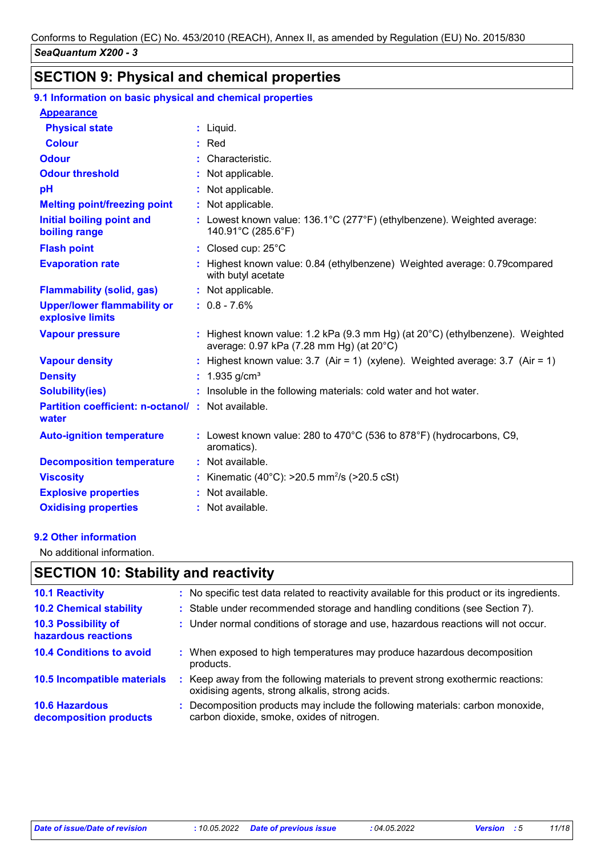## **SECTION 9: Physical and chemical properties**

#### **9.1 Information on basic physical and chemical properties**

| <b>Appearance</b>                                          |                                                                                                                                     |
|------------------------------------------------------------|-------------------------------------------------------------------------------------------------------------------------------------|
| <b>Physical state</b>                                      | $:$ Liquid.                                                                                                                         |
| <b>Colour</b>                                              | $:$ Red                                                                                                                             |
| <b>Odour</b>                                               | : Characteristic.                                                                                                                   |
| <b>Odour threshold</b>                                     | : Not applicable.                                                                                                                   |
| pH                                                         | : Not applicable.                                                                                                                   |
| <b>Melting point/freezing point</b>                        | : Not applicable.                                                                                                                   |
| <b>Initial boiling point and</b><br>boiling range          | : Lowest known value: 136.1°C (277°F) (ethylbenzene). Weighted average:<br>140.91°C (285.6°F)                                       |
| <b>Flash point</b>                                         | : Closed cup: 25°C                                                                                                                  |
| <b>Evaporation rate</b>                                    | Highest known value: 0.84 (ethylbenzene) Weighted average: 0.79 compared<br>with butyl acetate                                      |
| <b>Flammability (solid, gas)</b>                           | : Not applicable.                                                                                                                   |
| <b>Upper/lower flammability or</b><br>explosive limits     | $: 0.8 - 7.6%$                                                                                                                      |
| <b>Vapour pressure</b>                                     | : Highest known value: 1.2 kPa (9.3 mm Hg) (at $20^{\circ}$ C) (ethylbenzene). Weighted<br>average: 0.97 kPa (7.28 mm Hg) (at 20°C) |
| <b>Vapour density</b>                                      | : Highest known value: $3.7$ (Air = 1) (xylene). Weighted average: $3.7$ (Air = 1)                                                  |
| <b>Density</b>                                             | : $1.935$ g/cm <sup>3</sup>                                                                                                         |
| <b>Solubility(ies)</b>                                     | : Insoluble in the following materials: cold water and hot water.                                                                   |
| Partition coefficient: n-octanol/: Not available.<br>water |                                                                                                                                     |
| <b>Auto-ignition temperature</b>                           | : Lowest known value: 280 to 470 $^{\circ}$ C (536 to 878 $^{\circ}$ F) (hydrocarbons, C9,<br>aromatics).                           |
| <b>Decomposition temperature</b>                           | : Not available.                                                                                                                    |
| <b>Viscosity</b>                                           | Kinematic (40°C): >20.5 mm <sup>2</sup> /s (>20.5 cSt)                                                                              |
| <b>Explosive properties</b>                                | : Not available.                                                                                                                    |
| <b>Oxidising properties</b>                                | : Not available.                                                                                                                    |

#### **9.2 Other information**

No additional information.

### **SECTION 10: Stability and reactivity**

| <b>10.1 Reactivity</b>                            |    | : No specific test data related to reactivity available for this product or its ingredients.                                      |
|---------------------------------------------------|----|-----------------------------------------------------------------------------------------------------------------------------------|
| <b>10.2 Chemical stability</b>                    |    | : Stable under recommended storage and handling conditions (see Section 7).                                                       |
| <b>10.3 Possibility of</b><br>hazardous reactions |    | : Under normal conditions of storage and use, hazardous reactions will not occur.                                                 |
| <b>10.4 Conditions to avoid</b>                   |    | : When exposed to high temperatures may produce hazardous decomposition<br>products.                                              |
| 10.5 Incompatible materials                       | ÷. | Keep away from the following materials to prevent strong exothermic reactions:<br>oxidising agents, strong alkalis, strong acids. |
| <b>10.6 Hazardous</b><br>decomposition products   |    | Decomposition products may include the following materials: carbon monoxide,<br>carbon dioxide, smoke, oxides of nitrogen.        |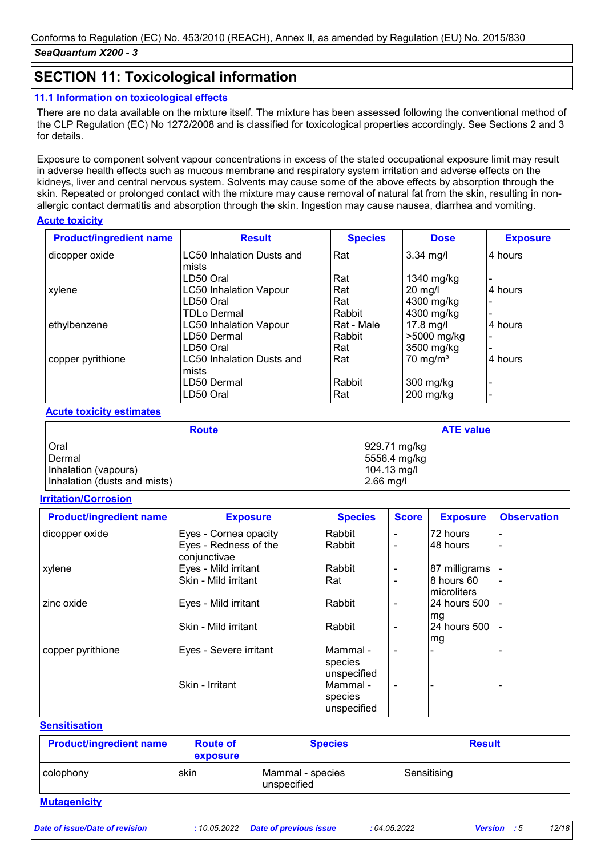### **SECTION 11: Toxicological information**

#### **11.1 Information on toxicological effects**

There are no data available on the mixture itself. The mixture has been assessed following the conventional method of the CLP Regulation (EC) No 1272/2008 and is classified for toxicological properties accordingly. See Sections 2 and 3 for details.

Exposure to component solvent vapour concentrations in excess of the stated occupational exposure limit may result in adverse health effects such as mucous membrane and respiratory system irritation and adverse effects on the kidneys, liver and central nervous system. Solvents may cause some of the above effects by absorption through the skin. Repeated or prolonged contact with the mixture may cause removal of natural fat from the skin, resulting in nonallergic contact dermatitis and absorption through the skin. Ingestion may cause nausea, diarrhea and vomiting.

#### **Acute toxicity**

| <b>Product/ingredient name</b> | <b>Result</b>                    | <b>Species</b> | <b>Dose</b>         | <b>Exposure</b>          |
|--------------------------------|----------------------------------|----------------|---------------------|--------------------------|
| dicopper oxide                 | <b>LC50 Inhalation Dusts and</b> | Rat            | $3.34$ mg/l         | 4 hours                  |
|                                | mists<br>LD50 Oral               | Rat            | 1340 mg/kg          |                          |
| xylene                         | <b>LC50 Inhalation Vapour</b>    | Rat            | $20$ mg/l           | 4 hours                  |
|                                | LD50 Oral                        | Rat            | 4300 mg/kg          |                          |
|                                | <b>TDLo Dermal</b>               | l Rabbit       | 4300 mg/kg          |                          |
| ethylbenzene                   | <b>LC50 Inhalation Vapour</b>    | Rat - Male     | $17.8$ mg/l         | 4 hours                  |
|                                | LD50 Dermal                      | Rabbit         | >5000 mg/kg         | $\blacksquare$           |
|                                | LD50 Oral                        | Rat            | 3500 mg/kg          |                          |
| copper pyrithione              | <b>LC50 Inhalation Dusts and</b> | Rat            | $70 \text{ mg/m}^3$ | 4 hours                  |
|                                | mists                            |                |                     |                          |
|                                | LD50 Dermal                      | Rabbit         | 300 mg/kg           | $\overline{\phantom{0}}$ |
|                                | LD50 Oral                        | Rat            | $200$ mg/kg         |                          |

#### **Acute toxicity estimates**

| <b>Route</b>                 | <b>ATE value</b> |
|------------------------------|------------------|
| l Oral                       | 929.71 mg/kg     |
| Dermal                       | 5556.4 mg/kg     |
| Inhalation (vapours)         | 104.13 mg/l      |
| Inhalation (dusts and mists) | $2.66$ mg/l      |

#### **Irritation/Corrosion**

| <b>Product/ingredient name</b> | <b>Exposure</b>                       | <b>Species</b>                     | <b>Score</b>             | <b>Exposure</b>            | <b>Observation</b> |
|--------------------------------|---------------------------------------|------------------------------------|--------------------------|----------------------------|--------------------|
| dicopper oxide                 | Eyes - Cornea opacity                 | Rabbit                             |                          | 72 hours                   |                    |
|                                | Eyes - Redness of the<br>conjunctivae | Rabbit                             |                          | 48 hours                   |                    |
| xylene                         | Eyes - Mild irritant                  | Rabbit                             |                          | 87 milligrams              |                    |
|                                | Skin - Mild irritant                  | Rat                                | $\blacksquare$           | 8 hours 60<br>Imicroliters |                    |
| zinc oxide                     | Eyes - Mild irritant                  | Rabbit                             |                          | 24 hours 500<br>mg         |                    |
|                                | Skin - Mild irritant                  | Rabbit                             |                          | 24 hours 500<br>lmg        |                    |
| copper pyrithione              | Eyes - Severe irritant                | Mammal -<br>species<br>unspecified | $\overline{\phantom{0}}$ |                            |                    |
|                                | Skin - Irritant                       | Mammal -<br>species<br>unspecified |                          |                            |                    |

#### **Sensitisation**

| <b>Product/ingredient name</b> | <b>Route of</b><br>exposure | <b>Species</b>                  | <b>Result</b> |
|--------------------------------|-----------------------------|---------------------------------|---------------|
| colophony                      | skin                        | Mammal - species<br>unspecified | Sensitising   |
| <b>Mutagenicity</b>            |                             |                                 |               |

*Date of issue/Date of revision* **:** *10.05.2022 Date of previous issue : 04.05.2022 Version : 5 12/18*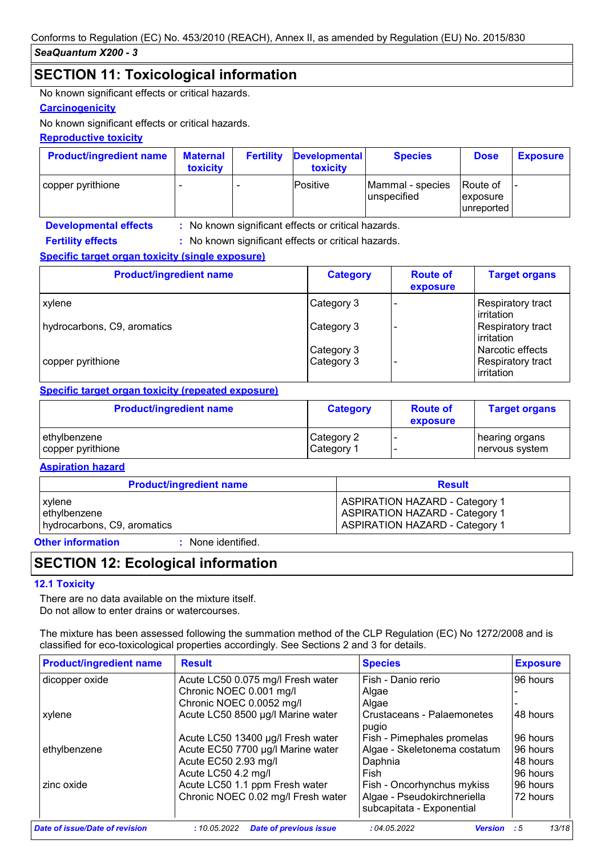### **SECTION 11: Toxicological information**

No known significant effects or critical hazards.

#### **Carcinogenicity**

No known significant effects or critical hazards.

#### **Reproductive toxicity**

| <b>Product/ingredient name</b> | <b>Maternal</b><br>toxicity | <b>Fertility</b> | <b>Developmental</b><br>toxicity | <b>Species</b>                  | <b>Dose</b>                         | <b>Exposure</b> |
|--------------------------------|-----------------------------|------------------|----------------------------------|---------------------------------|-------------------------------------|-----------------|
| copper pyrithione              |                             |                  | lPositive                        | Mammal - species<br>unspecified | Route of<br>exposure<br>lunreported |                 |

**Developmental effects : Fertility effects :**

: No known significant effects or critical hazards.

: No known significant effects or critical hazards.

#### **Specific target organ toxicity (single exposure)**

| <b>Product/ingredient name</b> | <b>Category</b> | <b>Route of</b><br>exposure | <b>Target organs</b>                    |
|--------------------------------|-----------------|-----------------------------|-----------------------------------------|
| <b>xylene</b>                  | Category 3      |                             | Respiratory tract<br>irritation         |
| hydrocarbons, C9, aromatics    | Category 3      |                             | Respiratory tract<br>lirritation        |
|                                | Category 3      |                             | Narcotic effects                        |
| copper pyrithione              | Category 3      |                             | Respiratory tract<br><b>lirritation</b> |

#### **Specific target organ toxicity (repeated exposure)**

| <b>Product/ingredient name</b> | <b>Category</b> | <b>Route of</b><br>exposure | <b>Target organs</b> |
|--------------------------------|-----------------|-----------------------------|----------------------|
| ethylbenzene                   | Category 2      |                             | hearing organs       |
| copper pyrithione              | Category 1      |                             | nervous system       |

#### **Aspiration hazard**

| <b>Product/ingredient name</b> | <b>Result</b>                         |  |
|--------------------------------|---------------------------------------|--|
| xylene                         | <b>ASPIRATION HAZARD - Category 1</b> |  |
| ethylbenzene                   | <b>ASPIRATION HAZARD - Category 1</b> |  |
| hydrocarbons, C9, aromatics    | <b>ASPIRATION HAZARD - Category 1</b> |  |

**Other information :**

: None identified.

### **SECTION 12: Ecological information**

#### **12.1 Toxicity**

There are no data available on the mixture itself. Do not allow to enter drains or watercourses.

The mixture has been assessed following the summation method of the CLP Regulation (EC) No 1272/2008 and is classified for eco-toxicological properties accordingly. See Sections 2 and 3 for details.

| <b>Product/ingredient name</b> | <b>Result</b>                                 | <b>Species</b>                | <b>Exposure</b> |
|--------------------------------|-----------------------------------------------|-------------------------------|-----------------|
| dicopper oxide                 | Acute LC50 0.075 mg/l Fresh water             | Fish - Danio rerio            | 96 hours        |
|                                | Chronic NOEC 0.001 mg/l                       | Algae                         |                 |
|                                | Chronic NOEC 0.0052 mg/l                      | Algae                         |                 |
| xylene                         | Acute LC50 8500 µg/l Marine water             | Crustaceans - Palaemonetes    | 48 hours        |
|                                |                                               | pugio                         |                 |
|                                | Acute LC50 13400 µg/l Fresh water             | Fish - Pimephales promelas    | 96 hours        |
| ethylbenzene                   | Acute EC50 7700 µg/l Marine water             | Algae - Skeletonema costatum  | 96 hours        |
|                                | Acute EC50 2.93 mg/l                          | Daphnia                       | 48 hours        |
|                                | Acute LC50 4.2 mg/l                           | Fish                          | 96 hours        |
| zinc oxide                     | Acute LC50 1.1 ppm Fresh water                | Fish - Oncorhynchus mykiss    | 96 hours        |
|                                | Chronic NOEC 0.02 mg/l Fresh water            | Algae - Pseudokirchneriella   | 72 hours        |
|                                |                                               | subcapitata - Exponential     |                 |
| Date of issue/Date of revision | <b>Date of previous issue</b><br>: 10.05.2022 | :04.05.2022<br><b>Version</b> | 13/18<br>- : 5  |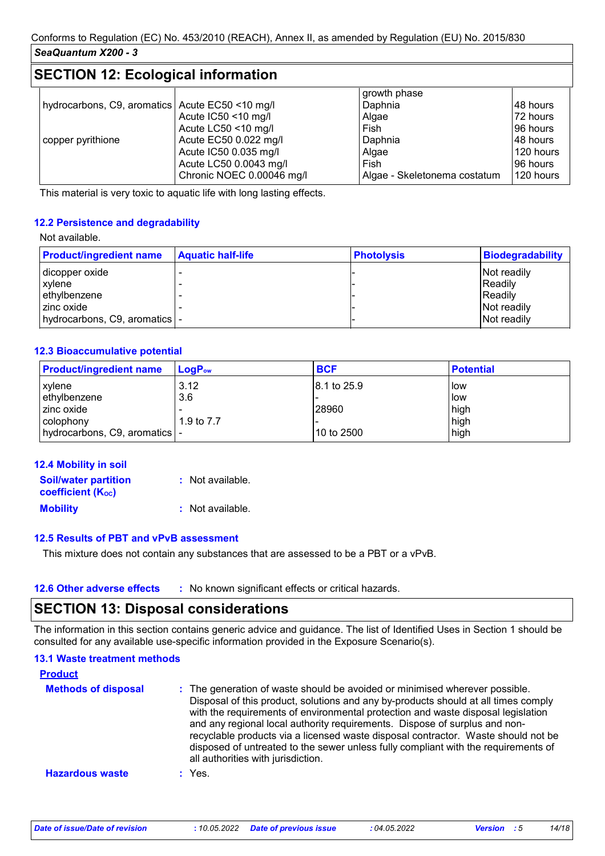## **SECTION 12: Ecological information**

|                                                   |                           | growth phase                 |           |
|---------------------------------------------------|---------------------------|------------------------------|-----------|
| hydrocarbons, C9, aromatics   Acute EC50 <10 mg/l |                           | Daphnia                      | 148 hours |
|                                                   | Acute IC50 <10 mg/l       | Algae                        | 72 hours  |
|                                                   | Acute LC50 <10 mg/l       | Fish                         | 196 hours |
| copper pyrithione                                 | Acute EC50 0.022 mg/l     | Daphnia                      | 48 hours  |
|                                                   | Acute IC50 0.035 mg/l     | Algae                        | 120 hours |
|                                                   | Acute LC50 0.0043 mg/l    | Fish                         | 96 hours  |
|                                                   | Chronic NOEC 0.00046 mg/l | Algae - Skeletonema costatum | 120 hours |

This material is very toxic to aquatic life with long lasting effects.

#### **12.2 Persistence and degradability**

#### Not available.

| <b>Product/ingredient name</b> | <b>Aquatic half-life</b> | <b>Photolysis</b> | Biodegradability |
|--------------------------------|--------------------------|-------------------|------------------|
| dicopper oxide                 |                          |                   | Not readily      |
| xvlene                         |                          |                   | Readily          |
| ethylbenzene                   |                          |                   | Readily          |
| I zinc oxide                   |                          |                   | Not readily      |
| hydrocarbons, C9, aromatics  - |                          |                   | Not readily      |

#### **12.3 Bioaccumulative potential**

| <b>Product/ingredient name</b>  | $LogP_{ow}$ | <b>BCF</b>   | <b>Potential</b> |
|---------------------------------|-------------|--------------|------------------|
| xylene                          | 3.12        | 18.1 to 25.9 | low              |
| ethylbenzene                    | 3.6         |              | low              |
| zinc oxide                      |             | 28960        | high             |
| colophony                       | 1.9 to 7.7  |              | high             |
| hydrocarbons, C9, aromatics   - |             | 10 to 2500   | high             |

| 12.4 Mobility in soil                                   |                  |
|---------------------------------------------------------|------------------|
| <b>Soil/water partition</b><br><b>coefficient (Koc)</b> | : Not available. |
| <b>Mobility</b>                                         | : Not available. |

#### **12.5 Results of PBT and vPvB assessment**

This mixture does not contain any substances that are assessed to be a PBT or a vPvB.

## **SECTION 13: Disposal considerations**

The information in this section contains generic advice and guidance. The list of Identified Uses in Section 1 should be consulted for any available use-specific information provided in the Exposure Scenario(s).

| <b>13.1 Waste treatment methods</b> |                                                                                                                                                                                                                                                                                                                                                                                                                                                                                                                                                      |
|-------------------------------------|------------------------------------------------------------------------------------------------------------------------------------------------------------------------------------------------------------------------------------------------------------------------------------------------------------------------------------------------------------------------------------------------------------------------------------------------------------------------------------------------------------------------------------------------------|
| <b>Product</b>                      |                                                                                                                                                                                                                                                                                                                                                                                                                                                                                                                                                      |
| <b>Methods of disposal</b>          | : The generation of waste should be avoided or minimised wherever possible.<br>Disposal of this product, solutions and any by-products should at all times comply<br>with the requirements of environmental protection and waste disposal legislation<br>and any regional local authority requirements. Dispose of surplus and non-<br>recyclable products via a licensed waste disposal contractor. Waste should not be<br>disposed of untreated to the sewer unless fully compliant with the requirements of<br>all authorities with jurisdiction. |
| <b>Hazardous waste</b>              | $:$ Yes.                                                                                                                                                                                                                                                                                                                                                                                                                                                                                                                                             |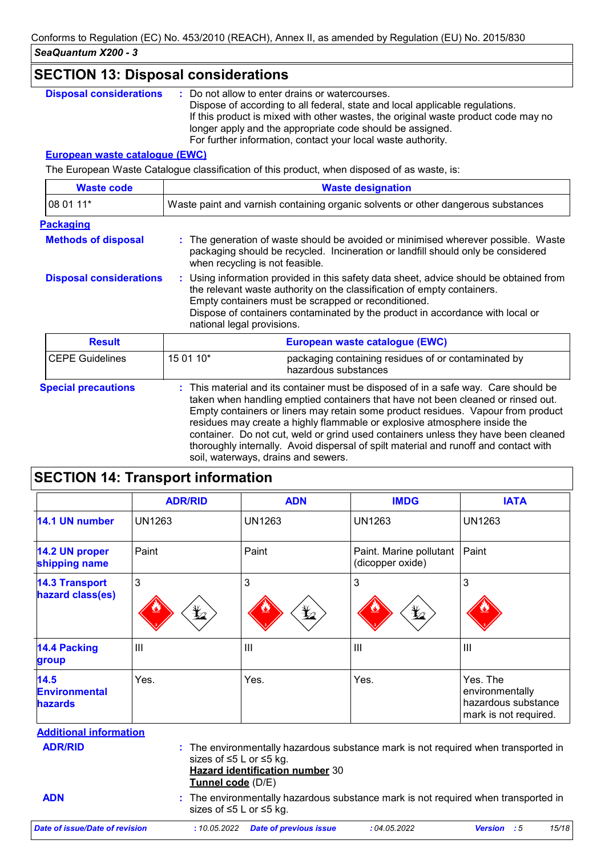| <b>SECTION 13: Disposal considerations</b>                                                        |                                                                                                                                                                                                                                                                                                                                                                                                                                                                                                                                                                                     |  |
|---------------------------------------------------------------------------------------------------|-------------------------------------------------------------------------------------------------------------------------------------------------------------------------------------------------------------------------------------------------------------------------------------------------------------------------------------------------------------------------------------------------------------------------------------------------------------------------------------------------------------------------------------------------------------------------------------|--|
| <b>Disposal considerations</b>                                                                    | Do not allow to enter drains or watercourses.<br>Dispose of according to all federal, state and local applicable regulations.<br>If this product is mixed with other wastes, the original waste product code may no<br>longer apply and the appropriate code should be assigned.<br>For further information, contact your local waste authority.                                                                                                                                                                                                                                    |  |
| <b>European waste catalogue (EWC)</b>                                                             |                                                                                                                                                                                                                                                                                                                                                                                                                                                                                                                                                                                     |  |
|                                                                                                   | The European Waste Catalogue classification of this product, when disposed of as waste, is:                                                                                                                                                                                                                                                                                                                                                                                                                                                                                         |  |
| <b>Waste code</b>                                                                                 | <b>Waste designation</b>                                                                                                                                                                                                                                                                                                                                                                                                                                                                                                                                                            |  |
| 08 01 11*                                                                                         | Waste paint and varnish containing organic solvents or other dangerous substances                                                                                                                                                                                                                                                                                                                                                                                                                                                                                                   |  |
| <b>Packaging</b><br><b>Methods of disposal</b><br><b>Disposal considerations</b><br><b>Result</b> | The generation of waste should be avoided or minimised wherever possible. Waste<br>packaging should be recycled. Incineration or landfill should only be considered<br>when recycling is not feasible.<br>: Using information provided in this safety data sheet, advice should be obtained from<br>the relevant waste authority on the classification of empty containers.<br>Empty containers must be scrapped or reconditioned.<br>Dispose of containers contaminated by the product in accordance with local or<br>national legal provisions.<br>European waste catalogue (EWC) |  |
|                                                                                                   |                                                                                                                                                                                                                                                                                                                                                                                                                                                                                                                                                                                     |  |
| <b>CEPE Guidelines</b>                                                                            | 15 01 10*<br>packaging containing residues of or contaminated by<br>hazardous substances                                                                                                                                                                                                                                                                                                                                                                                                                                                                                            |  |
| <b>Special precautions</b>                                                                        | : This material and its container must be disposed of in a safe way. Care should be<br>taken when handling emptied containers that have not been cleaned or rinsed out.<br>Empty containers or liners may retain some product residues. Vapour from product<br>residues may create a highly flammable or explosive atmosphere inside the<br>container. Do not cut, weld or grind used containers unless they have been cleaned<br>thoroughly internally. Avoid dispersal of spilt material and runoff and contact with                                                              |  |

# **SECTION 14: Transport information**

|                                                | <b>ADR/RID</b>        | <b>ADN</b>                                                        | <b>IMDG</b>                                                                        | <b>IATA</b>                                                                 |  |
|------------------------------------------------|-----------------------|-------------------------------------------------------------------|------------------------------------------------------------------------------------|-----------------------------------------------------------------------------|--|
| 14.1 UN number                                 | <b>UN1263</b>         | <b>UN1263</b>                                                     | <b>UN1263</b>                                                                      | <b>UN1263</b>                                                               |  |
| 14.2 UN proper<br>shipping name                | Paint                 | Paint                                                             | Paint. Marine pollutant<br>(dicopper oxide)                                        | Paint                                                                       |  |
| <b>14.3 Transport</b><br>hazard class(es)      | 3<br>$\mathbf{Y}_{2}$ | 3<br>$\bigstar$                                                   | 3<br>⊻                                                                             | 3                                                                           |  |
| <b>14.4 Packing</b><br>group                   | III                   | III                                                               | $\mathbf{III}$                                                                     | III                                                                         |  |
| 14.5<br><b>Environmental</b><br><b>hazards</b> | Yes.                  | Yes.                                                              | Yes.                                                                               | Yes. The<br>environmentally<br>hazardous substance<br>mark is not required. |  |
| <b>Additional information</b>                  |                       |                                                                   |                                                                                    |                                                                             |  |
| <b>ADR/RID</b><br><b>ADN</b>                   | Tunnel code (D/E)     | sizes of ≤5 L or ≤5 kg.<br><b>Hazard identification number 30</b> | : The environmentally hazardous substance mark is not required when transported in |                                                                             |  |
|                                                |                       | sizes of ≤5 L or ≤5 kg.                                           | : The environmentally hazardous substance mark is not required when transported in |                                                                             |  |
| Date of issue/Date of revision                 | : 10.05.2022          | <b>Date of previous issue</b>                                     | : 04.05.2022                                                                       | 15/18<br><b>Version</b><br>$\cdot$ :5                                       |  |

soil, waterways, drains and sewers.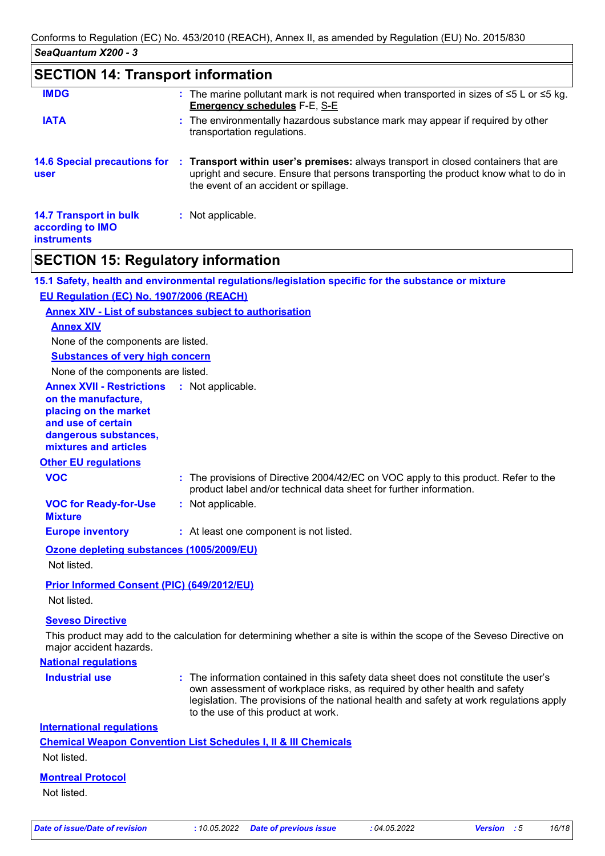### **SECTION 14: Transport information**

| <b>IMDG</b>                                                             | : The marine pollutant mark is not required when transported in sizes of $\leq 5$ L or $\leq 5$ kg.<br><b>Emergency schedules F-E, S-E</b>                                                                         |
|-------------------------------------------------------------------------|--------------------------------------------------------------------------------------------------------------------------------------------------------------------------------------------------------------------|
| <b>IATA</b>                                                             | : The environmentally hazardous substance mark may appear if required by other<br>transportation regulations.                                                                                                      |
| <b>14.6 Special precautions for</b><br>user                             | : Transport within user's premises: always transport in closed containers that are<br>upright and secure. Ensure that persons transporting the product know what to do in<br>the event of an accident or spillage. |
| <b>14.7 Transport in bulk</b><br>according to IMO<br><b>instruments</b> | : Not applicable.                                                                                                                                                                                                  |

### **SECTION 15: Regulatory information**

**15.1 Safety, health and environmental regulations/legislation specific for the substance or mixture EU Regulation (EC) No. 1907/2006 (REACH)**

#### **Annex XIV - List of substances subject to authorisation**

#### **Annex XIV**

None of the components are listed.

**Substances of very high concern**

None of the components are listed.

#### **Annex XVII - Restrictions** : Not applicable.

**on the manufacture, placing on the market and use of certain dangerous substances, mixtures and articles**

#### **Other EU regulations**

| <b>VOC</b> | : The provisions of Directive 2004/42/EC on VOC apply to this product. Refer to the |
|------------|-------------------------------------------------------------------------------------|
|            | product label and/or technical data sheet for further information.                  |

**VOC for Ready-for-Use :** Not applicable.

**Mixture**

**Europe inventory :** At least one component is not listed.

#### **Ozone depleting substances (1005/2009/EU)**

Not listed.

#### **Prior Informed Consent (PIC) (649/2012/EU)**

Not listed.

#### **Seveso Directive**

This product may add to the calculation for determining whether a site is within the scope of the Seveso Directive on major accident hazards.

#### **National regulations**

**Industrial use <b>:** The information contained in this safety data sheet does not constitute the user's own assessment of workplace risks, as required by other health and safety legislation. The provisions of the national health and safety at work regulations apply to the use of this product at work.

#### **International regulations**

**Chemical Weapon Convention List Schedules I, II & III Chemicals** Not listed.

### **Montreal Protocol**

Not listed.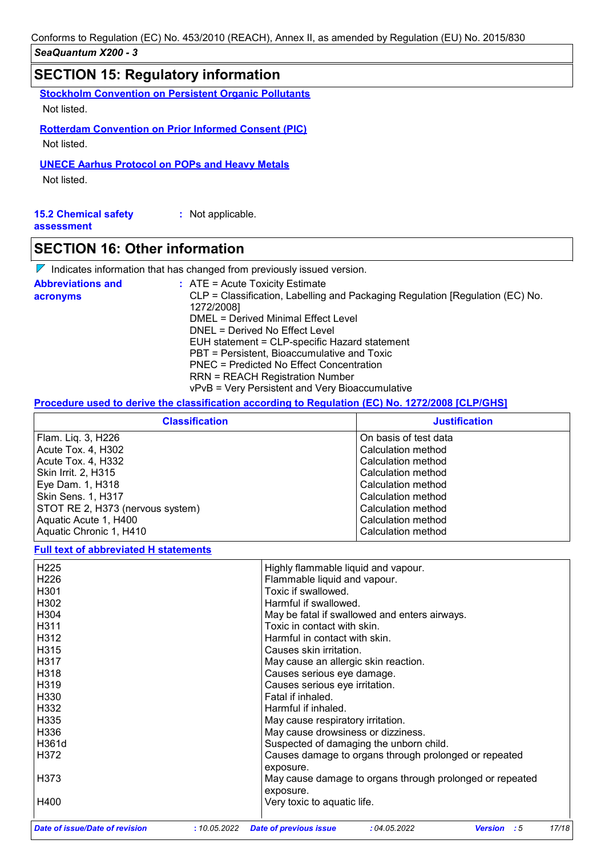### **SECTION 15: Regulatory information**

**Stockholm Convention on Persistent Organic Pollutants**

Not listed.

**Rotterdam Convention on Prior Informed Consent (PIC)**

Not listed.

**UNECE Aarhus Protocol on POPs and Heavy Metals**

Not listed.

| <b>15.2 Chemical safety</b> | : Not applicable. |
|-----------------------------|-------------------|
| assessment                  |                   |

### **SECTION 16: Other information**

 $\nabla$  Indicates information that has changed from previously issued version.

| <b>Abbreviations and</b> | $:$ ATE = Acute Toxicity Estimate                                                           |
|--------------------------|---------------------------------------------------------------------------------------------|
| acronyms                 | CLP = Classification, Labelling and Packaging Regulation [Regulation (EC) No.<br>1272/2008] |
|                          | DMEL = Derived Minimal Effect Level                                                         |
|                          | DNEL = Derived No Effect Level                                                              |
|                          | EUH statement = CLP-specific Hazard statement                                               |
|                          | PBT = Persistent, Bioaccumulative and Toxic                                                 |
|                          | PNEC = Predicted No Effect Concentration                                                    |
|                          | <b>RRN = REACH Registration Number</b>                                                      |
|                          | vPvB = Very Persistent and Very Bioaccumulative                                             |

#### **Procedure used to derive the classification according to Regulation (EC) No. 1272/2008 [CLP/GHS]**

| <b>Classification</b>            | <b>Justification</b>  |  |  |
|----------------------------------|-----------------------|--|--|
| Flam. Liq. 3, H226               | On basis of test data |  |  |
| Acute Tox. 4, H302               | Calculation method    |  |  |
| Acute Tox. 4, H332               | Calculation method    |  |  |
| Skin Irrit. 2, H315              | Calculation method    |  |  |
| Eye Dam. 1, H318                 | Calculation method    |  |  |
| <b>Skin Sens. 1, H317</b>        | Calculation method    |  |  |
| STOT RE 2, H373 (nervous system) | Calculation method    |  |  |
| Aquatic Acute 1, H400            | Calculation method    |  |  |
| Aquatic Chronic 1, H410          | Calculation method    |  |  |

#### **Full text of abbreviated H statements**

| <b>Date of issue/Date of revision</b> | : 10.05.2022 | <b>Date of previous issue</b>                                      | :04.05.2022 | - : 5<br><b>Version</b>                                  | 17/18 |
|---------------------------------------|--------------|--------------------------------------------------------------------|-------------|----------------------------------------------------------|-------|
| H400                                  |              | Very toxic to aquatic life.                                        |             |                                                          |       |
| H373                                  |              | exposure.                                                          |             | May cause damage to organs through prolonged or repeated |       |
| H372                                  |              | Causes damage to organs through prolonged or repeated<br>exposure. |             |                                                          |       |
| H361d                                 |              | Suspected of damaging the unborn child.                            |             |                                                          |       |
| H336                                  |              | May cause drowsiness or dizziness.                                 |             |                                                          |       |
| H335                                  |              | May cause respiratory irritation.                                  |             |                                                          |       |
| H332                                  |              | Harmful if inhaled.                                                |             |                                                          |       |
| H330                                  |              | Fatal if inhaled.                                                  |             |                                                          |       |
| H319                                  |              | Causes serious eye irritation.                                     |             |                                                          |       |
| H318                                  |              | Causes serious eye damage.                                         |             |                                                          |       |
| H317                                  |              | May cause an allergic skin reaction.                               |             |                                                          |       |
| H315                                  |              | Causes skin irritation.                                            |             |                                                          |       |
| H312                                  |              | Harmful in contact with skin.                                      |             |                                                          |       |
| H311                                  |              | Toxic in contact with skin.                                        |             |                                                          |       |
| H304                                  |              | May be fatal if swallowed and enters airways.                      |             |                                                          |       |
| H302                                  |              | Harmful if swallowed.                                              |             |                                                          |       |
| H <sub>301</sub>                      |              | Toxic if swallowed.                                                |             |                                                          |       |
| H <sub>226</sub>                      |              | Flammable liquid and vapour.                                       |             |                                                          |       |
| H <sub>225</sub>                      |              | Highly flammable liquid and vapour.                                |             |                                                          |       |